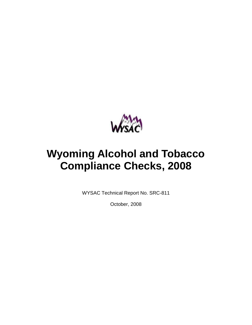

# **Wyoming Alcohol and Tobacco Compliance Checks, 2008**

WYSAC Technical Report No. SRC-811

October, 2008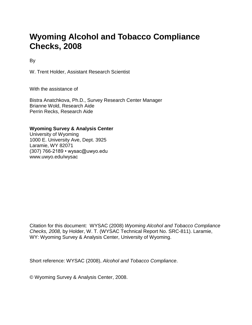## **Wyoming Alcohol and Tobacco Compliance Checks, 2008**

By

W. Trent Holder, Assistant Research Scientist

With the assistance of

Bistra Anatchkova, Ph.D., Survey Research Center Manager Brianne Wold, Research Aide Perrin Recks, Research Aide

#### **Wyoming Survey & Analysis Center**

University of Wyoming 1000 E. University Ave, Dept. 3925 Laramie, WY 82071 (307) 766-2189 • wysac@uwyo.edu www.uwyo.edu/wysac

Citation for this document: WYSAC (2008) *Wyoming Alcohol and Tobacco Compliance Checks, 2008,* by Holder, W. T. (WYSAC Technical Report No. SRC-811). Laramie, WY: Wyoming Survey & Analysis Center, University of Wyoming.

Short reference: WYSAC (2008), *Alcohol and Tobacco Compliance*.

© Wyoming Survey & Analysis Center, 2008.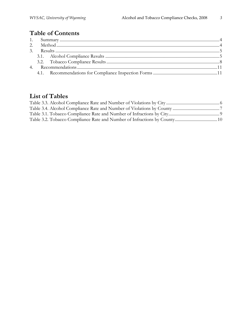### **Table of Contents**

### **List of Tables**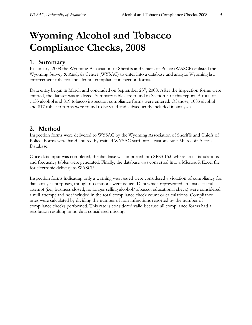## **Wyoming Alcohol and Tobacco Compliance Checks, 2008**

#### **1. Summary**

In January, 2008 the Wyoming Association of Sheriffs and Chiefs of Police (WASCP) enlisted the Wyoming Survey & Analysis Center (WYSAC) to enter into a database and analyze Wyoming law enforcement tobacco and alcohol compliance inspection forms.

Data entry began in March and concluded on September 23<sup>rd</sup>, 2008. After the inspection forms were entered, the dataset was analyzed. Summary tables are found in Section 3 of this report. A total of 1133 alcohol and 819 tobacco inspection compliance forms were entered. Of those, 1083 alcohol and 817 tobacco forms were found to be valid and subsequently included in analyses.

#### **2. Method**

Inspection forms were delivered to WYSAC by the Wyoming Association of Sheriffs and Chiefs of Police. Forms were hand entered by trained WYSAC staff into a custom-built Microsoft Access Database.

Once data input was completed, the database was imported into SPSS 15.0 where cross-tabulations and frequency tables were generated. Finally, the database was converted into a Microsoft Excel file for electronic delivery to WASCP.

Inspection forms indicating only a warning was issued were considered a violation of compliancy for data analysis purposes, though no citations were issued. Data which represented an unsuccessful attempt (i.e., business closed, no longer selling alcohol/tobacco, educational check) were considered a null attempt and not included in the total compliance check count or calculations. Compliance rates were calculated by dividing the number of non-infractions reported by the number of compliance checks performed. This rate is considered valid because all compliance forms had a resolution resulting in no data considered missing.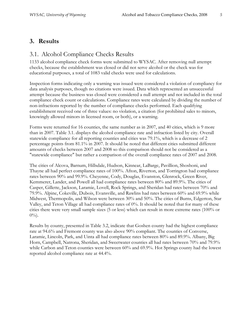#### **3. Results**

#### 3.1. Alcohol Compliance Checks Results

1133 alcohol compliance check forms were submitted to WYSAC. After removing null attempt checks, because the establishment was closed or did not serve alcohol or the check was for educational purposes, a total of 1083 valid checks were used for calculations.

Inspection forms indicating only a warning was issued were considered a violation of compliancy for data analysis purposes, though no citations were issued. Data which represented an unsuccessful attempt because the business was closed were considered a null attempt and not included in the total compliance check count or calculations. Compliance rates were calculated by dividing the number of non-infractions reported by the number of compliance checks performed. Each qualifying establishment received one of three values: no violation, a citation (for prohibited sales to minors, knowingly allowed minors in licensed room, or both), or a warning.

Forms were returned for 16 counties, the same number as in 2007, and 40 cities, which is 9 more than in 2007. Table 3.1. displays the alcohol compliance rate and infraction listed by city. Overall statewide compliance for all reporting counties and cities was 79.1%, which is a decrease of 2 percentage points from 81.1% in 2007. It should be noted that different cities submitted different amounts of checks between 2007 and 2008 so this comparison should not be considered as a "statewide compliance" but rather a comparison of the overall compliance rates of 2007 and 2008.

The cities of Alcova, Barnum, Hillsdale, Hudson, Kinnear, LaBarge, Pavillion, Shoshoni, and Thayne all had perfect compliance rates of 100%. Afton, Riverton, and Torrington had compliance rates between 90% and 99.9%. Cheyenne, Cody, Douglas, Evanston, Glenrock, Green River, Kemmerer, Lander, and Powell all had compliance rates between 80% and 89.9%. The cities of Casper, Gillette, Jackson, Laramie, Lovell, Rock Springs, and Sheridan had rates between 70% and 79.9%. Alpine, Cokeville, Dubois, Evansville, and Rawlins had rates between 60% and 69.9% while Midwest, Thermopolis, and Wilson were between 30% and 50%. The cities of Burns, Edgerton, Star Valley, and Teton Village all had compliance rates of 0%. It should be noted that for many of these cities there were very small sample sizes (5 or less) which can result in more extreme rates (100% or  $0\%$ ).

Results by county, presented in Table 3.2, indicate that Goshen county had the highest compliance rate at 94.6% and Fremont county was also above 90% compliant. The counties of Converse, Laramie, Lincoln, Park, and Uinta all had compliance rates between 80% and 89.9%. Albany, Big Horn, Campbell, Natrona, Sheridan, and Sweetwater counties all had rates between 70% and 79.9% while Carbon and Teton counties were between 60% and 69.9%. Hot Springs county had the lowest reported alcohol compliance rate at 44.4%.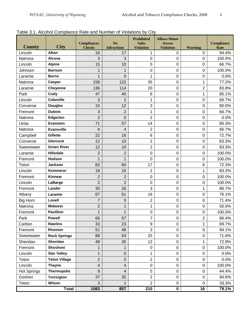|                    |                      | <b>Compliances</b> | N <sub>o</sub>          | <b>Prohibited</b><br><b>Sales</b> | <b>Allows Minor</b><br><b>Access</b> |                  | <b>Compliance</b> |
|--------------------|----------------------|--------------------|-------------------------|-----------------------------------|--------------------------------------|------------------|-------------------|
| <b>County</b>      | <b>City</b>          | <b>Checks</b>      | <b>Infractions</b>      | <b>Violation</b>                  | <b>Violation</b>                     | <b>Warning</b>   | Rate              |
| Lincoln            | <b>Afton</b>         | 18                 | 17                      | 1                                 | $\mathbf 0$                          | 0                | 94.4%             |
| Natrona            | Alcova               | 3                  | 3                       | $\pmb{0}$                         | $\mathbf 0$                          | $\pmb{0}$        | 100.0%            |
| Lincoln            | <b>Alpine</b>        | 15                 | 10                      | 5                                 | $\mathbf 0$                          | $\pmb{0}$        | 66.7%             |
| Johnson            | <b>Barnum</b>        | 1                  | 1                       | $\pmb{0}$                         | $\boldsymbol{0}$                     | $\mathbf 0$      | 100.0%            |
| Laramie            | <b>Burns</b>         | 1                  | 0                       | 1                                 | $\boldsymbol{0}$                     | $\mathbf 0$      | 0.0%              |
| Natrona            | <b>Casper</b>        | 158                | 122                     | 35                                | $\mathbf 0$                          | $\mathbf{1}$     | 77.2%             |
| Laramie            | <b>Cheyenne</b>      | 136                | 114                     | 20                                | $\pmb{0}$                            | $\overline{2}$   | 83.8%             |
| Park               | Cody                 | 47                 | 40                      | $\,6$                             | $\mathbf 0$                          | 1                | 85.1%             |
| Lincoln            | <b>Cokeville</b>     | 3                  | $\overline{2}$          | 1                                 | $\boldsymbol{0}$                     | $\pmb{0}$        | 66.7%             |
| Converse           | <b>Douglas</b>       | 15                 | 12                      | 3                                 | $\boldsymbol{0}$                     | $\boldsymbol{0}$ | 80.0%             |
| Fremont            | <b>Dubois</b>        | 3                  | $\overline{2}$          | 1                                 | $\mathbf 0$                          | $\mathbf 0$      | 66.7%             |
| Natrona            | Edgerton             | $\overline{2}$     | $\mathbf 0$             | $\overline{2}$                    | $\mathbf 0$                          | $\pmb{0}$        | 0.0%              |
| Uinta              | <b>Evanston</b>      | 71                 | 57                      | 14                                | $\mathbf 0$                          | $\mathbf 0$      | 80.3%             |
| Natrona            | <b>Evansville</b>    | $\,6$              | 4                       | $\overline{2}$                    | $\boldsymbol{0}$                     | $\pmb{0}$        | 66.7%             |
| Campbell           | Gillette             | 22                 | 16                      | $\,6$                             | $\boldsymbol{0}$                     | $\mathbf 0$      | 72.7%             |
| Converse           | <b>Glenrock</b>      | 12                 | 10                      | $\overline{c}$                    | $\mathbf 0$                          | $\pmb{0}$        | 83.3%             |
| Sweetwater         | <b>Green River</b>   | 12                 | 10                      | $\overline{2}$                    | $\pmb{0}$                            | $\pmb{0}$        | 83.3%             |
| Laramie            | <b>Hillsdale</b>     | $\overline{2}$     | $\overline{2}$          | $\pmb{0}$                         | $\mathbf 0$                          | $\pmb{0}$        | 100.0%            |
| Fremont            | <b>Hudson</b>        | 1                  | 1                       | $\boldsymbol{0}$                  | $\boldsymbol{0}$                     | $\mathbf 0$      | 100.0%            |
| Teton              | <b>Jackson</b>       | 83                 | 60                      | 17                                | $\boldsymbol{0}$                     | $\,6$            | 72.3%             |
| Lincoln            | <b>Kemmerer</b>      | 18                 | 15                      | $\overline{c}$                    | $\mathbf 0$                          | $\mathbf{1}$     | 83.3%             |
| Fremont            | Kinnear              | $\overline{2}$     | $\overline{2}$          | $\pmb{0}$                         | $\pmb{0}$                            | $\pmb{0}$        | 100.0%            |
| Lincoln            | LaBarge              | $\overline{2}$     | $\overline{2}$          | $\mathbf 0$                       | $\mathbf 0$                          | $\pmb{0}$        | 100.0%            |
| Fremont            | Lander               | 30                 | 26                      | 3                                 | $\boldsymbol{0}$                     | 1                | 86.7%             |
| Albany             | Laramie              | 67                 | 51                      | 16                                | $\boldsymbol{0}$                     | $\mathbf 0$      | 76.1%             |
| <b>Big Horn</b>    | Lovell               | $\overline{7}$     | 5                       | $\overline{\mathbf{c}}$           | $\mathbf 0$                          | $\mathbf 0$      | 71.4%             |
| Natrona            | <b>Midwest</b>       | $\overline{c}$     | 1                       | $\mathbf{1}$                      | $\pmb{0}$                            | $\pmb{0}$        | 50.0%             |
| Fremont            | <b>Pavillion</b>     | $\overline{1}$     | $\overline{1}$          | $\mathbf 0$                       | $\mathbf 0$                          | $\pmb{0}$        | 100.0%            |
| Park               | <b>Powell</b>        | 66                 | 57                      | $\overline{7}$                    | 0                                    | $\overline{2}$   | 86.4%             |
| Carbon             | Rawlins              | 33                 | 23                      | $\boldsymbol{9}$                  | $\mathbf 0$                          | 1                | 69.7%             |
| Fremont            | Riverton             | 51                 | 48                      | 3                                 | $\pmb{0}$                            | $\pmb{0}$        | 94.1%             |
| Sweetwater         | <b>Rock Springs</b>  | 88                 | 63                      | 25                                | $\mathbf 0$                          | $\pmb{0}$        | 71.6%             |
| Sheridan           | Sheridan             | 48                 | 35                      | 12                                | $\pmb{0}$                            | $\mathbf 1$      | 72.9%             |
| Fremont            | Shoshoni             | 1                  | 1                       | 0                                 | $\mathbf 0$                          | $\mathbf 0$      | 100.0%            |
| Lincoln            | <b>Star Valley</b>   | 1                  | $\mathbf 0$             | 1                                 | $\mathbf 0$                          | $\mathbf 0$      | 0.0%              |
| Teton              | <b>Teton Village</b> | $\overline{2}$     | $\boldsymbol{0}$        | $\overline{2}$                    | $\pmb{0}$                            | $\pmb{0}$        | 0.0%              |
| Lincoln            | <b>Thayne</b>        | 4                  | $\overline{\mathbf{4}}$ | $\pmb{0}$                         | $\mathbf 0$                          | $\pmb{0}$        | 100.0%            |
| <b>Hot Springs</b> | <b>Thermopolis</b>   | $\overline{9}$     | 4                       | 5                                 | $\pmb{0}$                            | $\pmb{0}$        | 44.4%             |
| Goshen             | Torrington           | 37                 | 35                      | $\overline{2}$                    | $\mathbf 0$                          | $\mathbf 0$      | 94.6%             |
| Teton              | Wilson               | 3                  | 1                       | $\overline{2}$                    | $\mathbf 0$                          | $\mathbf 0$      | 33.3%             |
| Total              |                      | 1083               | 857                     | 210                               | $\mathbf 0$                          | 16               | 79.1%             |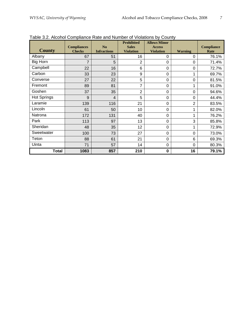| <b>County</b>      | <b>Compliances</b><br><b>Checks</b> | N <sub>o</sub><br><b>Infractions</b> | <b>Prohibited</b><br><b>Sales</b><br><b>Violation</b> | <b>Allows Minor</b><br><b>Access</b><br><b>Violation</b> | <b>Warning</b> | <b>Compliance</b><br>Rate |
|--------------------|-------------------------------------|--------------------------------------|-------------------------------------------------------|----------------------------------------------------------|----------------|---------------------------|
| Albany             | 67                                  | 51                                   | 16                                                    | 0                                                        | 0              | 76.1%                     |
| Big Horn           | $\overline{7}$                      | 5                                    | $\overline{2}$                                        | 0                                                        | 0              | 71.4%                     |
| Campbell           | 22                                  | 16                                   | 6                                                     | $\Omega$                                                 | 0              | 72.7%                     |
| Carbon             | 33                                  | 23                                   | 9                                                     | $\Omega$                                                 | 1              | 69.7%                     |
| Converse           | 27                                  | 22                                   | 5                                                     | 0                                                        | $\Omega$       | 81.5%                     |
| Fremont            | 89                                  | 81                                   | 7                                                     | 0                                                        | 1              | 91.0%                     |
| Goshen             | 37                                  | 35                                   | $\overline{2}$                                        | 0                                                        | 0              | 94.6%                     |
| <b>Hot Springs</b> | 9                                   | 4                                    | 5                                                     | 0                                                        | $\Omega$       | 44.4%                     |
| Laramie            | 139                                 | 116                                  | 21                                                    | 0                                                        | $\overline{2}$ | 83.5%                     |
| Lincoln            | 61                                  | 50                                   | 10                                                    | 0                                                        | 1              | 82.0%                     |
| Natrona            | 172                                 | 131                                  | 40                                                    | 0                                                        | 1              | 76.2%                     |
| Park               | 113                                 | 97                                   | 13                                                    | 0                                                        | 3              | 85.8%                     |
| Sheridan           | 48                                  | 35                                   | 12                                                    | 0                                                        | 1              | 72.9%                     |
| Sweetwater         | 100                                 | 73                                   | 27                                                    | $\Omega$                                                 | 0              | 73.0%                     |
| Teton              | 88                                  | 61                                   | 21                                                    | $\Omega$                                                 | 6              | 69.3%                     |
| Uinta              | 71                                  | 57                                   | 14                                                    | 0                                                        | $\Omega$       | 80.3%                     |
| <b>Total</b>       | 1083                                | 857                                  | 210                                                   | $\mathbf 0$                                              | 16             | 79.1%                     |

Table 3.2. Alcohol Compliance Rate and Number of Violations by County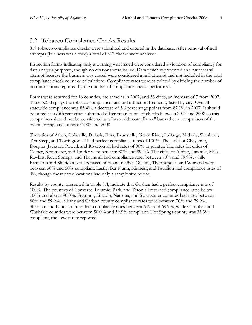#### 3.2. Tobacco Compliance Checks Results

819 tobacco compliance checks were submitted and entered in the database. After removal of null attempts (business was closed) a total of 817 checks were analyzed.

Inspection forms indicating only a warning was issued were considered a violation of compliancy for data analysis purposes, though no citations were issued. Data which represented an unsuccessful attempt because the business was closed were considered a null attempt and not included in the total compliance check count or calculations. Compliance rates were calculated by dividing the number of non-infractions reported by the number of compliance checks performed.

Forms were returned for 16 counties, the same as in 2007, and 33 cities, an increase of 7 from 2007. Table 3.3. displays the tobacco compliance rate and infraction frequency listed by city. Overall statewide compliance was 83.4%, a decrease of 3.6 percentage points from 87.0% in 2007. It should be noted that different cities submitted different amounts of checks between 2007 and 2008 so this comparison should not be considered as a "statewide compliance" but rather a comparison of the overall compliance rates of 2007 and 2008.

The cities of Afton, Cokeville, Dubois, Etna, Evansville, Green River, LaBarge, Midvale, Shoshoni, Ten Sleep, and Torrington all had perfect compliance rates of 100%. The cities of Cheyenne, Douglas, Jackson, Powell, and Riverton all had rates of 90% or greater. The rates for cities of Casper, Kemmerer, and Lander were between 80% and 89.9%. The cities of Alpine, Laramie, Mills, Rawlins, Rock Springs, and Thayne all had compliance rates between 70% and 79.9%, while Evanston and Sheridan were between 60% and 69.9%. Gillette, Thermopolis, and Worland were between 30% and 50% compliant. Lastly, Bar Nunn, Kinnear, and Pavillion had compliance rates of 0%, though these three locations had only a sample size of one.

Results by county, presented in Table 3.4, indicate that Goshen had a perfect compliance rate of 100%. The counties of Converse, Laramie, Park, and Teton all returned compliance rates below 100% and above 90.0%. Fremont, Lincoln, Natrona, and Sweetwater counties had rates between 80% and 89.9%. Albany and Carbon county compliance rates were between 70% and 79.9%. Sheridan and Uinta counties had compliance rates between 60% and 69.9%, while Campbell and Washakie counties were between 50.0% and 59.9% compliant. Hot Springs county was 33.3% compliant, the lowest rate reported.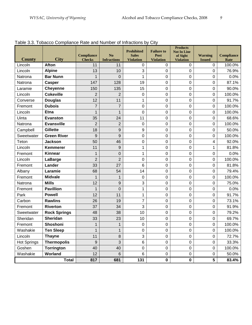| <b>County</b>      | <b>Exploration of the compliance indicated indirect</b> of indications by<br><b>City</b> | <b>Compliance</b><br><b>Checks</b> | N <sub>o</sub><br><b>Infractions</b> | <b>Prohibited</b><br><b>Sales</b><br><b>Violation</b> | <u>.</u><br><b>Failure to</b><br>Post<br><b>Violation</b> | <b>Products</b><br><b>Not In Line</b><br>of Sight<br><b>Violation</b> | <b>Warning</b><br><b>Issued</b> | <b>Compliance</b><br>Rate |
|--------------------|------------------------------------------------------------------------------------------|------------------------------------|--------------------------------------|-------------------------------------------------------|-----------------------------------------------------------|-----------------------------------------------------------------------|---------------------------------|---------------------------|
| Lincoln            | <b>Afton</b>                                                                             | 11                                 | 11                                   | 0                                                     | 0                                                         | 0                                                                     | $\mathbf 0$                     | 100.0%                    |
| Lincoln            | <b>Alpine</b>                                                                            | 13                                 | 10                                   | 3                                                     | 0                                                         | 0                                                                     | 0                               | 76.9%                     |
| Natrona            | <b>Bar Nunn</b>                                                                          | 1                                  | $\overline{0}$                       | 1                                                     | 0                                                         | 0                                                                     | 0                               | 0.0%                      |
| Natrona            | <b>Casper</b>                                                                            | 147                                | 128                                  | 19                                                    | 0                                                         | 0                                                                     | 0                               | 87.1%                     |
| Laramie            | <b>Cheyenne</b>                                                                          | 150                                | 135                                  | 15                                                    | 0                                                         | 0                                                                     | 0                               | 90.0%                     |
| Lincoln            | <b>Cokeville</b>                                                                         | $\overline{2}$                     | $\overline{2}$                       | $\mathbf 0$                                           | 0                                                         | 0                                                                     | $\pmb{0}$                       | 100.0%                    |
| Converse           | <b>Douglas</b>                                                                           | 12                                 | 11                                   | 1                                                     | 0                                                         | 0                                                                     | 0                               | 91.7%                     |
| Fremont            | <b>Dubois</b>                                                                            | $\overline{7}$                     | $\overline{7}$                       | 0                                                     | 0                                                         | 0                                                                     | 0                               | 100.0%                    |
| Lincoln            | <b>Etna</b>                                                                              | 1                                  | $\mathbf{1}$                         | 0                                                     | 0                                                         | 0                                                                     | 0                               | 100.0%                    |
| Uinta              | <b>Evanston</b>                                                                          | 35                                 | 24                                   | 11                                                    | 0                                                         | 0                                                                     | 0                               | 68.6%                     |
| Natrona            | <b>Evansville</b>                                                                        | $\overline{2}$                     | $\overline{2}$                       | $\boldsymbol{0}$                                      | 0                                                         | 0                                                                     | $\pmb{0}$                       | 100.0%                    |
| Campbell           | <b>Gillette</b>                                                                          | 18                                 | 9                                    | 9                                                     | 0                                                         | 0                                                                     | 0                               | 50.0%                     |
| Sweetwater         | <b>Green River</b>                                                                       | 9                                  | 9                                    | 0                                                     | 0                                                         | 0                                                                     | 0                               | 100.0%                    |
| Teton              | <b>Jackson</b>                                                                           | 50                                 | 46                                   | 0                                                     | 0                                                         | 0                                                                     | 4                               | 92.0%                     |
| Lincoln            | <b>Kemmerer</b>                                                                          | 11                                 | $9$                                  | $\mathbf 1$                                           | 0                                                         | 0                                                                     | 1                               | 81.8%                     |
| Fremont            | <b>Kinnear</b>                                                                           | 1                                  | $\mathbf 0$                          | $\mathbf 1$                                           | 0                                                         | 0                                                                     | $\pmb{0}$                       | 0.0%                      |
| Lincoln            | LaBarge                                                                                  | $\overline{2}$                     | $\overline{2}$                       | 0                                                     | 0                                                         | 0                                                                     | 0                               | 100.0%                    |
| Fremont            | Lander                                                                                   | 33                                 | 27                                   | 6                                                     | 0                                                         | 0                                                                     | 0                               | 81.8%                     |
| Albany             | Laramie                                                                                  | 68                                 | 54                                   | 14                                                    | 0                                                         | 0                                                                     | 0                               | 79.4%                     |
| Fremont            | <b>Midvale</b>                                                                           | 1                                  | 1                                    | 0                                                     | 0                                                         | 0                                                                     | 0                               | 100.0%                    |
| Natrona            | <b>Mills</b>                                                                             | 12                                 | 9                                    | 3                                                     | 0                                                         | 0                                                                     | $\pmb{0}$                       | 75.0%                     |
| Fremont            | <b>Pavillion</b>                                                                         | $\mathbf{1}$                       | $\overline{0}$                       | 1                                                     | 0                                                         | 0                                                                     | 0                               | 0.0%                      |
| Park               | <b>Powell</b>                                                                            | 12                                 | 11                                   | 1                                                     | 0                                                         | 0                                                                     | 0                               | 91.7%                     |
| Carbon             | <b>Rawlins</b>                                                                           | 26                                 | 19                                   | $\overline{7}$                                        | 0                                                         | 0                                                                     | 0                               | 73.1%                     |
| Fremont            | <b>Riverton</b>                                                                          | 37                                 | 34                                   | 3                                                     | 0                                                         | 0                                                                     | 0                               | 91.9%                     |
| Sweetwater         | <b>Rock Springs</b>                                                                      | 48                                 | 38                                   | 10                                                    | 0                                                         | 0                                                                     | $\pmb{0}$                       | 79.2%                     |
| Sheridan           | <b>Sheridan</b>                                                                          | 33                                 | 23                                   | 10                                                    | 0                                                         | 0                                                                     | 0                               | 69.7%                     |
| Fremont            | Shoshoni                                                                                 | 1                                  | $\mathbf 1$                          | 0                                                     | 0                                                         | 0                                                                     | 0                               | 100.0%                    |
| Washakie           | <b>Ten Sleep</b>                                                                         | 1                                  | 1                                    | 0                                                     | 0                                                         | $\pmb{0}$                                                             | $\pmb{0}$                       | 100.0%                    |
| Lincoln            | <b>Thayne</b>                                                                            | 11                                 | 8                                    | 3                                                     | 0                                                         | $\boldsymbol{0}$                                                      | 0                               | 72.7%                     |
| <b>Hot Springs</b> | <b>Thermopolis</b>                                                                       | 9                                  | 3                                    | 6                                                     | 0                                                         | $\pmb{0}$                                                             | 0                               | 33.3%                     |
| Goshen             | <b>Torrington</b>                                                                        | 40                                 | 40                                   | $\mathsf 0$                                           | $\mathsf 0$                                               | $\pmb{0}$                                                             | 0                               | 100.0%                    |
| Washakie           | Worland                                                                                  | 12                                 | 6                                    | 6                                                     | 0                                                         | 0                                                                     | 0                               | 50.0%                     |
|                    | <b>Total</b>                                                                             | 817                                | 681                                  | 131                                                   | 0                                                         | $\mathbf 0$                                                           | 5                               | 83.4%                     |

Table 3.3. Tobacco Compliance Rate and Number of Infractions by City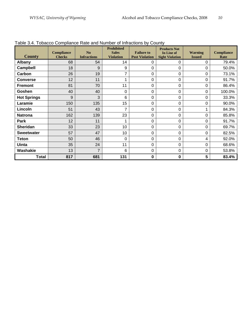| <b>County</b>      | Compliance<br><b>Checks</b> | N <sub>o</sub><br><b>Infractions</b> | <b>Prohibited</b><br><b>Sales</b><br><b>Violation</b> | <b>Failure to</b><br><b>Post Violation</b> | <b>Products Not</b><br>In Line of<br><b>Sight Violation</b> | <b>Warning</b><br><b>Issued</b> | <b>Compliance</b><br>Rate |
|--------------------|-----------------------------|--------------------------------------|-------------------------------------------------------|--------------------------------------------|-------------------------------------------------------------|---------------------------------|---------------------------|
| <b>Albany</b>      | 68                          | 54                                   | 14                                                    | 0                                          | 0                                                           | 0                               | 79.4%                     |
| Campbell           | 18                          | 9                                    | 9                                                     | 0                                          | $\Omega$                                                    | 0                               | 50.0%                     |
| Carbon             | 26                          | 19                                   | 7                                                     | 0                                          | $\Omega$                                                    | $\mathbf 0$                     | 73.1%                     |
| <b>Converse</b>    | 12                          | 11                                   |                                                       | 0                                          | $\mathbf 0$                                                 | $\mathbf 0$                     | 91.7%                     |
| <b>Fremont</b>     | 81                          | 70                                   | 11                                                    | $\mathbf 0$                                | $\Omega$                                                    | 0                               | 86.4%                     |
| Goshen             | 40                          | 40                                   | $\Omega$                                              | 0                                          | $\Omega$                                                    | 0                               | 100.0%                    |
| <b>Hot Springs</b> | 9                           | 3                                    | 6                                                     | 0                                          | $\Omega$                                                    | $\mathbf 0$                     | 33.3%                     |
| Laramie            | 150                         | 135                                  | 15                                                    | 0                                          | $\Omega$                                                    | 0                               | 90.0%                     |
| Lincoln            | 51                          | 43                                   | $\overline{7}$                                        | 0                                          | $\Omega$                                                    | 1                               | 84.3%                     |
| <b>Natrona</b>     | 162                         | 139                                  | 23                                                    | 0                                          | $\mathbf 0$                                                 | $\mathbf 0$                     | 85.8%                     |
| Park               | 12                          | 11                                   | 1                                                     | $\mathbf 0$                                | $\Omega$                                                    | $\mathbf 0$                     | 91.7%                     |
| <b>Sheridan</b>    | 33                          | 23                                   | 10                                                    | $\pmb{0}$                                  | $\Omega$                                                    | 0                               | 69.7%                     |
| <b>Sweetwater</b>  | 57                          | 47                                   | 10                                                    | 0                                          | $\mathbf 0$                                                 | $\mathbf 0$                     | 82.5%                     |
| <b>Teton</b>       | 50                          | 46                                   | 0                                                     | 0                                          | $\Omega$                                                    | 4                               | 92.0%                     |
| <b>Uinta</b>       | 35                          | 24                                   | 11                                                    | 0                                          | 0                                                           | 0                               | 68.6%                     |
| Washakie           | 13                          | $\overline{7}$                       | 6                                                     | 0                                          | $\mathbf 0$                                                 | $\mathbf 0$                     | 53.8%                     |
| <b>Total</b>       | 817                         | 681                                  | 131                                                   | $\pmb{0}$                                  | $\mathbf 0$                                                 | 5                               | 83.4%                     |

Table 3.4. Tobacco Compliance Rate and Number of Infractions by County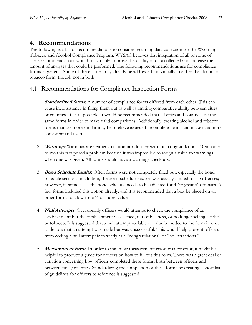#### **4. Recommendations**

The following is a list of recommendations to consider regarding data collection for the Wyoming Tobacco and Alcohol Compliance Program. WYSAC believes that integration of all or some of these recommendations would sustainably improve the quality of data collected and increase the amount of analyses that could be preformed. The following recommendations are for compliance forms in general. Some of these issues may already be addressed individually in either the alcohol or tobacco form, though not in both.

#### 4.1. Recommendations for Compliance Inspection Forms

- 1. **Standardized forms**: A number of compliance forms differed from each other. This can cause inconsistency in filling them out as well as limiting comparative ability between cities or counties. If at all possible, it would be recommended that all cities and counties use the same forms in order to make valid comparisons. Additionally, creating alcohol and tobacco forms that are more similar may help relieve issues of incomplete forms and make data more consistent and useful.
- 2. **Warnings***:* Warnings are neither a citation nor do they warrant "congratulations." On some forms this fact posed a problem because it was impossible to assign a value for warnings when one was given. All forms should have a warnings checkbox.
- 3. **Bond Schedule Limits:** Often forms were not completely filled out; especially the bond schedule section. In addition, the bond schedule section was usually limited to 1-3 offenses; however, in some cases the bond schedule needs to be adjusted for 4 (or greater) offenses. A few forms included this option already, and it is recommended that a box be placed on all other forms to allow for a "4 or more" value.
- 4. **Null Attempts**: Occasionally officers would attempt to check the compliance of an establishment but the establishment was closed, out of business, or no longer selling alcohol or tobacco. It is suggested that a null attempt variable or value be added to the form in order to denote that an attempt was made but was unsuccessful. This would help prevent officers from coding a null attempt incorrectly as a "congratulations" or "no infractions."
- 5. **Measurement Error**: In order to minimize measurement error or entry error, it might be helpful to produce a guide for officers on how to fill out this form. There was a great deal of variation concerning how officers completed these forms, both between officers and between cities/counties. Standardizing the completion of these forms by creating a short list of guidelines for officers to reference is suggested.